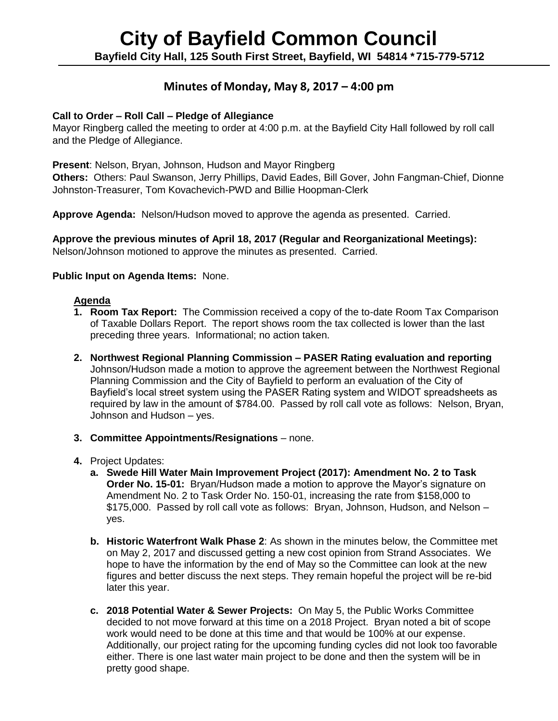# **Minutes of Monday, May 8, 2017 – 4:00 pm**

# **Call to Order – Roll Call – Pledge of Allegiance**

Mayor Ringberg called the meeting to order at 4:00 p.m. at the Bayfield City Hall followed by roll call and the Pledge of Allegiance.

**Present**: Nelson, Bryan, Johnson, Hudson and Mayor Ringberg

**Others:** Others: Paul Swanson, Jerry Phillips, David Eades, Bill Gover, John Fangman-Chief, Dionne Johnston-Treasurer, Tom Kovachevich-PWD and Billie Hoopman-Clerk

**Approve Agenda:** Nelson/Hudson moved to approve the agenda as presented. Carried.

**Approve the previous minutes of April 18, 2017 (Regular and Reorganizational Meetings):** Nelson/Johnson motioned to approve the minutes as presented. Carried.

# **Public Input on Agenda Items:** None.

# **Agenda**

- **1. Room Tax Report:** The Commission received a copy of the to-date Room Tax Comparison of Taxable Dollars Report. The report shows room the tax collected is lower than the last preceding three years. Informational; no action taken.
- **2. Northwest Regional Planning Commission – PASER Rating evaluation and reporting** Johnson/Hudson made a motion to approve the agreement between the Northwest Regional Planning Commission and the City of Bayfield to perform an evaluation of the City of Bayfield's local street system using the PASER Rating system and WIDOT spreadsheets as required by law in the amount of \$784.00. Passed by roll call vote as follows: Nelson, Bryan, Johnson and Hudson – yes.
- **3. Committee Appointments/Resignations** none.
- **4.** Project Updates:
	- **a. Swede Hill Water Main Improvement Project (2017): Amendment No. 2 to Task Order No. 15-01:** Bryan/Hudson made a motion to approve the Mayor's signature on Amendment No. 2 to Task Order No. 150-01, increasing the rate from \$158,000 to \$175,000. Passed by roll call vote as follows: Bryan, Johnson, Hudson, and Nelson – yes.
	- **b. Historic Waterfront Walk Phase 2**: As shown in the minutes below, the Committee met on May 2, 2017 and discussed getting a new cost opinion from Strand Associates. We hope to have the information by the end of May so the Committee can look at the new figures and better discuss the next steps. They remain hopeful the project will be re-bid later this year.
	- **c. 2018 Potential Water & Sewer Projects:** On May 5, the Public Works Committee decided to not move forward at this time on a 2018 Project. Bryan noted a bit of scope work would need to be done at this time and that would be 100% at our expense. Additionally, our project rating for the upcoming funding cycles did not look too favorable either. There is one last water main project to be done and then the system will be in pretty good shape.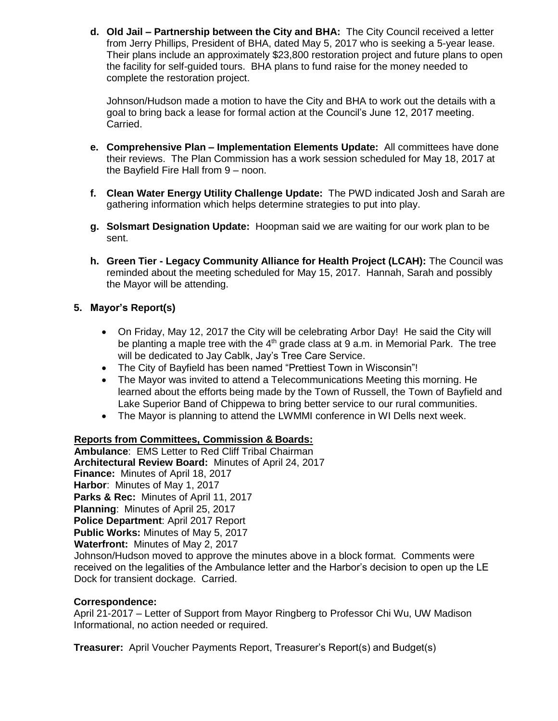**d. Old Jail – Partnership between the City and BHA:** The City Council received a letter from Jerry Phillips, President of BHA, dated May 5, 2017 who is seeking a 5-year lease. Their plans include an approximately \$23,800 restoration project and future plans to open the facility for self-guided tours. BHA plans to fund raise for the money needed to complete the restoration project.

Johnson/Hudson made a motion to have the City and BHA to work out the details with a goal to bring back a lease for formal action at the Council's June 12, 2017 meeting. Carried.

- **e. Comprehensive Plan – Implementation Elements Update:** All committees have done their reviews. The Plan Commission has a work session scheduled for May 18, 2017 at the Bayfield Fire Hall from 9 – noon.
- **f. Clean Water Energy Utility Challenge Update:** The PWD indicated Josh and Sarah are gathering information which helps determine strategies to put into play.
- **g. Solsmart Designation Update:** Hoopman said we are waiting for our work plan to be sent.
- **h. Green Tier - Legacy Community Alliance for Health Project (LCAH):** The Council was reminded about the meeting scheduled for May 15, 2017. Hannah, Sarah and possibly the Mayor will be attending.

# **5. Mayor's Report(s)**

- On Friday, May 12, 2017 the City will be celebrating Arbor Day! He said the City will be planting a maple tree with the  $4<sup>th</sup>$  grade class at 9 a.m. in Memorial Park. The tree will be dedicated to Jay Cablk, Jay's Tree Care Service.
- The City of Bayfield has been named "Prettiest Town in Wisconsin"!
- The Mayor was invited to attend a Telecommunications Meeting this morning. He learned about the efforts being made by the Town of Russell, the Town of Bayfield and Lake Superior Band of Chippewa to bring better service to our rural communities.
- The Mayor is planning to attend the LWMMI conference in WI Dells next week.

# **Reports from Committees, Commission & Boards:**

**Ambulance**: EMS Letter to Red Cliff Tribal Chairman **Architectural Review Board:** Minutes of April 24, 2017 **Finance:** Minutes of April 18, 2017 **Harbor**: Minutes of May 1, 2017 **Parks & Rec:** Minutes of April 11, 2017 **Planning**: Minutes of April 25, 2017 **Police Department**: April 2017 Report **Public Works:** Minutes of May 5, 2017 **Waterfront:** Minutes of May 2, 2017

Johnson/Hudson moved to approve the minutes above in a block format. Comments were received on the legalities of the Ambulance letter and the Harbor's decision to open up the LE Dock for transient dockage. Carried.

#### **Correspondence:**

April 21-2017 – Letter of Support from Mayor Ringberg to Professor Chi Wu, UW Madison Informational, no action needed or required.

**Treasurer:** April Voucher Payments Report, Treasurer's Report(s) and Budget(s)